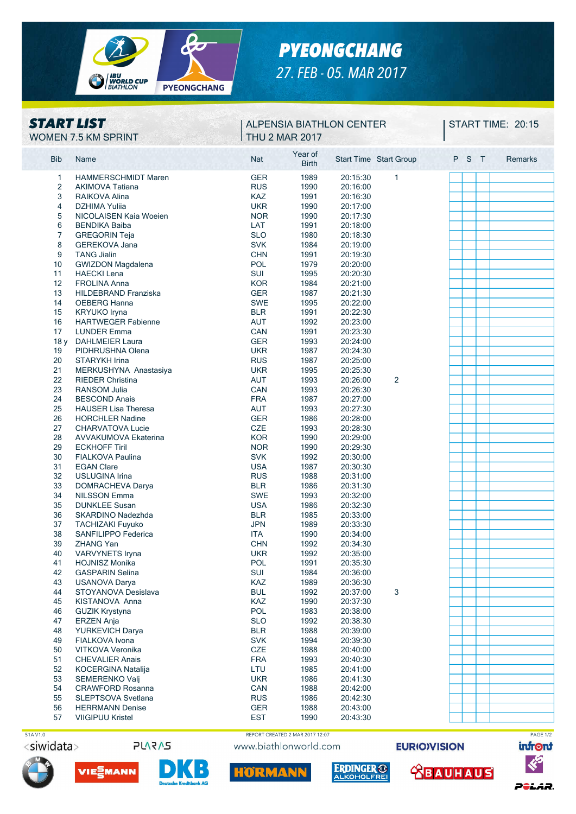

# *PYEONGCHANG 27. FEB - 05. MAR 2017*

## *START LIST*

#### WOMEN 7.5 KM SPRINT THU 2 MAR 2017 **ALPENSIA BIATHLON CENTER**

**START TIME: 20:15** 

| <b>Bib</b> | Name                        | <b>Nat</b> | Year of<br><b>Birth</b> |          | <b>Start Time Start Group</b> | P S | $\top$ | Remarks |  |
|------------|-----------------------------|------------|-------------------------|----------|-------------------------------|-----|--------|---------|--|
| 1          | <b>HAMMERSCHMIDT Maren</b>  | <b>GER</b> | 1989                    | 20:15:30 | 1                             |     |        |         |  |
| 2          | <b>AKIMOVA Tatiana</b>      | <b>RUS</b> | 1990                    | 20:16:00 |                               |     |        |         |  |
| 3          | RAIKOVA Alina               | <b>KAZ</b> | 1991                    | 20:16:30 |                               |     |        |         |  |
| 4          | <b>DZHIMA Yulija</b>        | <b>UKR</b> | 1990                    | 20:17:00 |                               |     |        |         |  |
| 5          | NICOLAISEN Kaia Woeien      | <b>NOR</b> | 1990                    | 20:17:30 |                               |     |        |         |  |
| 6          | <b>BENDIKA Baiba</b>        | LAT        | 1991                    | 20:18:00 |                               |     |        |         |  |
| 7          | <b>GREGORIN Teja</b>        | <b>SLO</b> | 1980                    | 20:18:30 |                               |     |        |         |  |
| 8          | <b>GEREKOVA Jana</b>        | <b>SVK</b> | 1984                    | 20:19:00 |                               |     |        |         |  |
| 9          | <b>TANG Jialin</b>          | <b>CHN</b> | 1991                    | 20:19:30 |                               |     |        |         |  |
| 10         | GWIZDON Magdalena           | POL        | 1979                    | 20:20:00 |                               |     |        |         |  |
| 11         | <b>HAECKI Lena</b>          | SUI        | 1995                    | 20:20:30 |                               |     |        |         |  |
| 12         | <b>FROLINA Anna</b>         | <b>KOR</b> | 1984                    | 20:21:00 |                               |     |        |         |  |
|            |                             |            |                         |          |                               |     |        |         |  |
| 13         | HILDEBRAND Franziska        | <b>GER</b> | 1987                    | 20:21:30 |                               |     |        |         |  |
| 14         | OEBERG Hanna                | <b>SWE</b> | 1995                    | 20:22:00 |                               |     |        |         |  |
| 15         | KRYUKO Iryna                | <b>BLR</b> | 1991                    | 20:22:30 |                               |     |        |         |  |
| 16         | <b>HARTWEGER Fabienne</b>   | <b>AUT</b> | 1992                    | 20:23:00 |                               |     |        |         |  |
| 17         | <b>LUNDER Emma</b>          | <b>CAN</b> | 1991                    | 20:23:30 |                               |     |        |         |  |
| 18y        | <b>DAHLMEIER Laura</b>      | <b>GER</b> | 1993                    | 20:24:00 |                               |     |        |         |  |
| 19         | PIDHRUSHNA Olena            | <b>UKR</b> | 1987                    | 20:24:30 |                               |     |        |         |  |
| 20         | STARYKH Irina               | <b>RUS</b> | 1987                    | 20:25:00 |                               |     |        |         |  |
| 21         | MERKUSHYNA Anastasiya       | <b>UKR</b> | 1995                    | 20:25:30 |                               |     |        |         |  |
| 22         | <b>RIEDER Christina</b>     | <b>AUT</b> | 1993                    | 20:26:00 | 2                             |     |        |         |  |
| 23         | <b>RANSOM Julia</b>         | <b>CAN</b> | 1993                    | 20:26:30 |                               |     |        |         |  |
| 24         | <b>BESCOND Anais</b>        | <b>FRA</b> | 1987                    | 20:27:00 |                               |     |        |         |  |
| 25         | <b>HAUSER Lisa Theresa</b>  | <b>AUT</b> | 1993                    | 20:27:30 |                               |     |        |         |  |
| 26         | <b>HORCHLER Nadine</b>      | <b>GER</b> | 1986                    | 20:28:00 |                               |     |        |         |  |
| 27         | <b>CHARVATOVA Lucie</b>     | CZE        | 1993                    | 20:28:30 |                               |     |        |         |  |
| 28         | <b>AVVAKUMOVA Ekaterina</b> | <b>KOR</b> | 1990                    | 20:29:00 |                               |     |        |         |  |
| 29         | <b>ECKHOFF Tiril</b>        | <b>NOR</b> | 1990                    | 20:29:30 |                               |     |        |         |  |
| 30         | FIALKOVA Paulina            | <b>SVK</b> | 1992                    | 20:30:00 |                               |     |        |         |  |
| 31         | <b>EGAN Clare</b>           | <b>USA</b> | 1987                    | 20:30:30 |                               |     |        |         |  |
| 32         | <b>USLUGINA Irina</b>       | <b>RUS</b> | 1988                    | 20:31:00 |                               |     |        |         |  |
| 33         | DOMRACHEVA Darya            | <b>BLR</b> | 1986                    | 20:31:30 |                               |     |        |         |  |
| 34         | <b>NILSSON Emma</b>         | <b>SWE</b> | 1993                    | 20:32:00 |                               |     |        |         |  |
| 35         | <b>DUNKLEE Susan</b>        | <b>USA</b> | 1986                    | 20:32:30 |                               |     |        |         |  |
| 36         |                             | <b>BLR</b> | 1985                    |          |                               |     |        |         |  |
|            | SKARDINO Nadezhda           |            |                         | 20:33:00 |                               |     |        |         |  |
| 37         | <b>TACHIZAKI Fuyuko</b>     | <b>JPN</b> | 1989                    | 20:33:30 |                               |     |        |         |  |
| 38         | SANFILIPPO Federica         | <b>ITA</b> | 1990                    | 20:34:00 |                               |     |        |         |  |
| 39         | <b>ZHANG Yan</b>            | <b>CHN</b> | 1992                    | 20:34:30 |                               |     |        |         |  |
| 40         | VARVYNETS Iryna             | <b>UKR</b> | 1992                    | 20:35:00 |                               |     |        |         |  |
| 41         | <b>HOJNISZ Monika</b>       | <b>POL</b> | 1991                    | 20:35:30 |                               |     |        |         |  |
| 42         | <b>GASPARIN Selina</b>      | SUI        | 1984                    | 20:36:00 |                               |     |        |         |  |
| 43         | <b>USANOVA Darya</b>        | KAZ        | 1989                    | 20:36:30 |                               |     |        |         |  |
| 44         | STOYANOVA Desislava         | <b>BUL</b> | 1992                    | 20:37:00 | 3                             |     |        |         |  |
| 45         | KISTANOVA Anna              | KAZ        | 1990                    | 20:37:30 |                               |     |        |         |  |
| 46         | <b>GUZIK Krystyna</b>       | POL        | 1983                    | 20:38:00 |                               |     |        |         |  |
| 47         | <b>ERZEN Anja</b>           | <b>SLO</b> | 1992                    | 20:38:30 |                               |     |        |         |  |
| 48         | YURKEVICH Darya             | <b>BLR</b> | 1988                    | 20:39:00 |                               |     |        |         |  |
| 49         | FIALKOVA Ivona              | <b>SVK</b> | 1994                    | 20:39:30 |                               |     |        |         |  |
| 50         | VITKOVA Veronika            | CZE        | 1988                    | 20:40:00 |                               |     |        |         |  |
| 51         | <b>CHEVALIER Anais</b>      | <b>FRA</b> | 1993                    | 20:40:30 |                               |     |        |         |  |
| 52         | <b>KOCERGINA Natalija</b>   | LTU        | 1985                    | 20:41:00 |                               |     |        |         |  |
| 53         | SEMERENKO Valj              | <b>UKR</b> | 1986                    | 20:41:30 |                               |     |        |         |  |
| 54         | <b>CRAWFORD Rosanna</b>     | CAN        | 1988                    | 20:42:00 |                               |     |        |         |  |
| 55         | SLEPTSOVA Svetlana          | <b>RUS</b> | 1986                    | 20:42:30 |                               |     |        |         |  |
| 56         | <b>HERRMANN Denise</b>      | <b>GER</b> | 1988                    | 20:43:00 |                               |     |        |         |  |
| 57         | <b>VIIGIPUU Kristel</b>     | <b>EST</b> | 1990                    | 20:43:30 |                               |     |        |         |  |
|            |                             |            |                         |          |                               |     |        |         |  |



<siwidata>